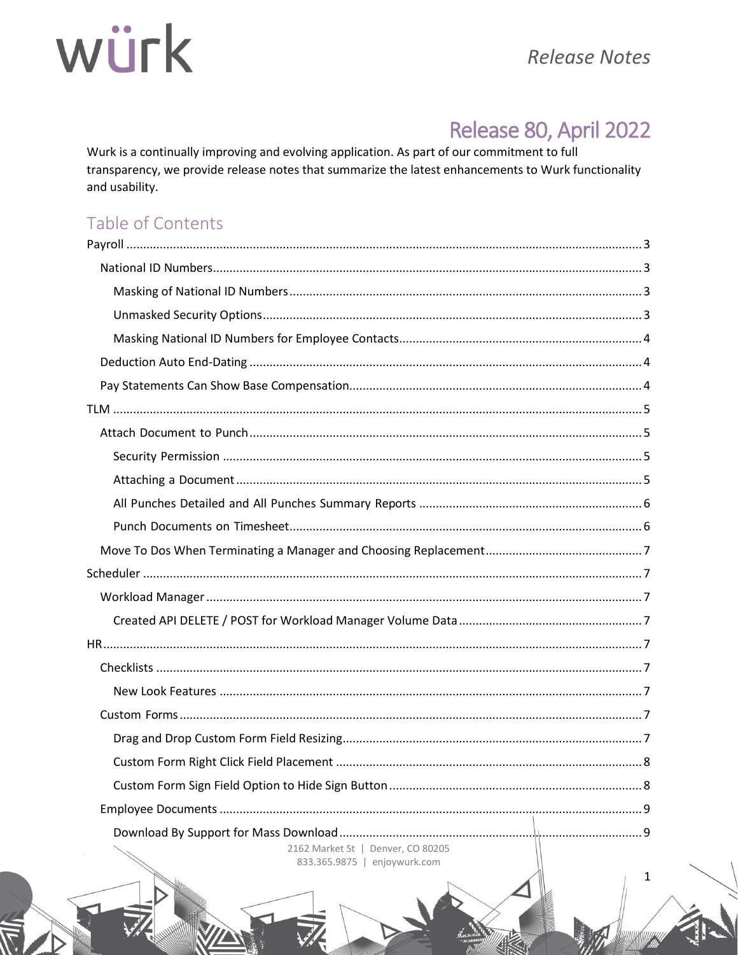## Release 80, April 2022

Wurk is a continually improving and evolving application. As part of our commitment to full transparency, we provide release notes that summarize the latest enhancements to Wurk functionality and usability.

## Table of Contents

| 2162 Market St   Denver, CO 80205<br>833.365.9875   enjoywurk.com |  |
|-------------------------------------------------------------------|--|

 $\mathbf{1}$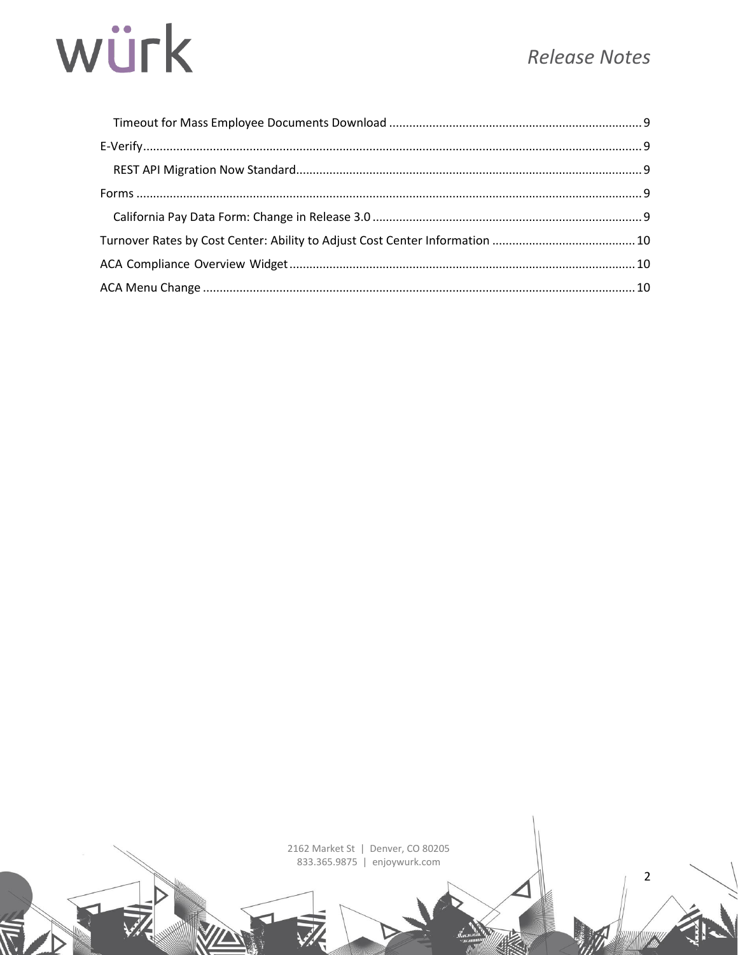$\overline{2}$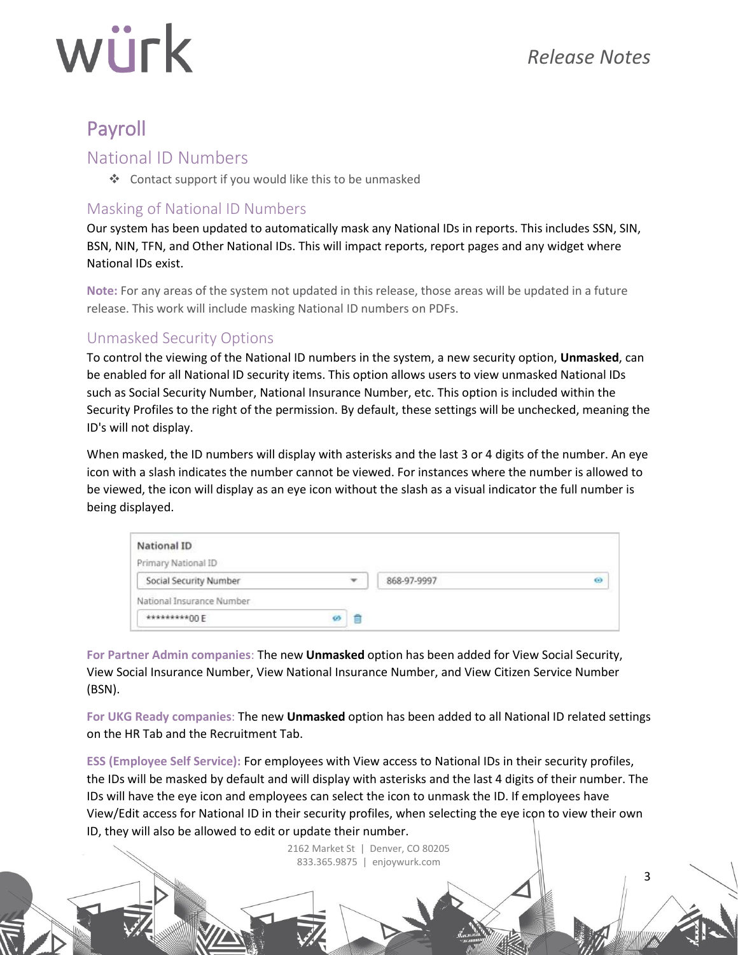3

## würk

## <span id="page-2-0"></span>Payroll

#### <span id="page-2-1"></span>National ID Numbers

❖ Contact support if you would like this to be unmasked

#### <span id="page-2-2"></span>Masking of National ID Numbers

Our system has been updated to automatically mask any National IDs in reports. This includes SSN, SIN, BSN, NIN, TFN, and Other National IDs. This will impact reports, report pages and any widget where National IDs exist.

**Note:** For any areas of the system not updated in this release, those areas will be updated in a future release. This work will include masking National ID numbers on PDFs.

#### <span id="page-2-3"></span>Unmasked Security Options

To control the viewing of the National ID numbers in the system, a new security option, **Unmasked**, can be enabled for all National ID security items. This option allows users to view unmasked National IDs such as Social Security Number, National Insurance Number, etc. This option is included within the Security Profiles to the right of the permission. By default, these settings will be unchecked, meaning the ID's will not display.

When masked, the ID numbers will display with asterisks and the last 3 or 4 digits of the number. An eye icon with a slash indicates the number cannot be viewed. For instances where the number is allowed to be viewed, the icon will display as an eye icon without the slash as a visual indicator the full number is being displayed.

| National ID               |        |             |   |
|---------------------------|--------|-------------|---|
| Primary National ID       |        |             |   |
| Social Security Number    | ٠      | 868-97-9997 | ø |
| National Insurance Number |        |             |   |
| *********00 E             | E<br>ø |             |   |

**For Partner Admin companies**: The new **Unmasked** option has been added for View Social Security, View Social Insurance Number, View National Insurance Number, and View Citizen Service Number (BSN).

**For UKG Ready companies**: The new **Unmasked** option has been added to all National ID related settings on the HR Tab and the Recruitment Tab.

**ESS (Employee Self Service):** For employees with View access to National IDs in their security profiles, the IDs will be masked by default and will display with asterisks and the last 4 digits of their number. The IDs will have the eye icon and employees can select the icon to unmask the ID. If employees have View/Edit access for National ID in their security profiles, when selecting the eye icon to view their own ID, they will also be allowed to edit or update their number.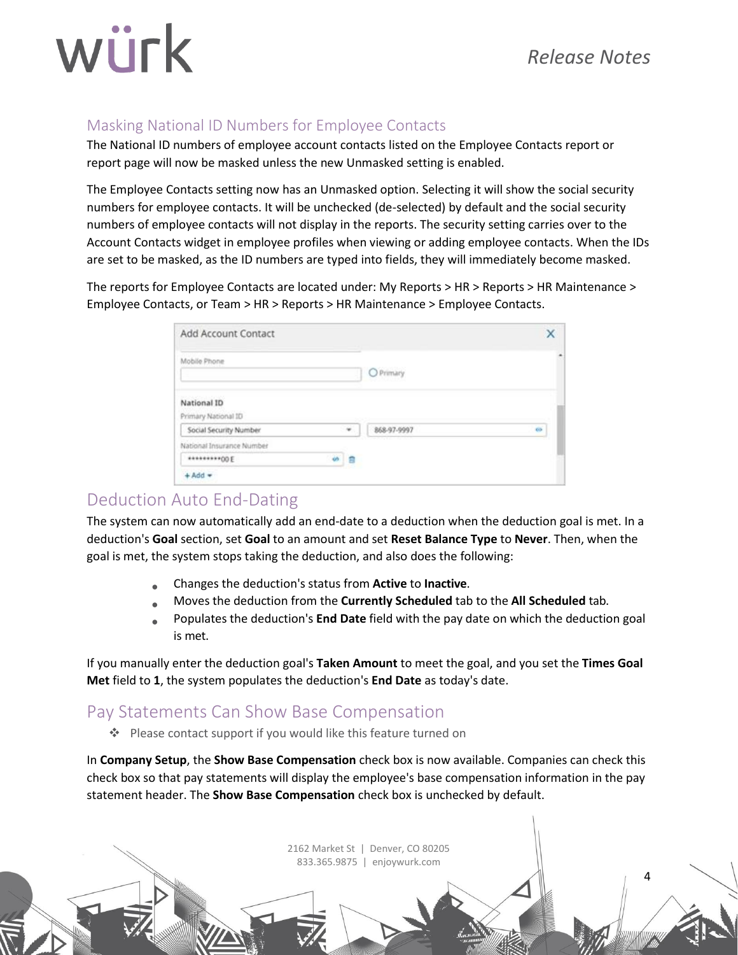### *Release Notes*

4

## würk

### <span id="page-3-0"></span>Masking National ID Numbers for Employee Contacts

The National ID numbers of employee account contacts listed on the Employee Contacts report or report page will now be masked unless the new Unmasked setting is enabled.

The Employee Contacts setting now has an Unmasked option. Selecting it will show the social security numbers for employee contacts. It will be unchecked (de-selected) by default and the social security numbers of employee contacts will not display in the reports. The security setting carries over to the Account Contacts widget in employee profiles when viewing or adding employee contacts. When the IDs are set to be masked, as the ID numbers are typed into fields, they will immediately become masked.

The reports for Employee Contacts are located under: My Reports > HR > Reports > HR Maintenance > Employee Contacts, or Team > HR > Reports > HR Maintenance > Employee Contacts.

| Add Account Contact                |                             |             |    |
|------------------------------------|-----------------------------|-------------|----|
| Mobile Phone                       |                             | O Primary   |    |
| National ID<br>Primary National ID |                             |             |    |
| Social Security Number             | $\mathcal{P}_{\mathcal{A}}$ | 868-97-9997 | 66 |
| National Insurance Number          |                             |             |    |
| **********00 E                     | ö.<br>18                    |             |    |
| $+ Add$ $*$                        |                             |             |    |

## <span id="page-3-1"></span>Deduction Auto End-Dating

The system can now automatically add an end-date to a deduction when the deduction goal is met. In a deduction's **Goal** section, set **Goal** to an amount and set **Reset Balance Type** to **Never**. Then, when the goal is met, the system stops taking the deduction, and also does the following:

- Changes the deduction's status from **Active** to **Inactive**.
- Moves the deduction from the **Currently Scheduled** tab to the **All Scheduled** tab.
- Populates the deduction's **End Date** field with the pay date on which the deduction goal is met.

If you manually enter the deduction goal's **Taken Amount** to meet the goal, and you set the **Times Goal Met** field to **1**, the system populates the deduction's **End Date** as today's date.

## <span id="page-3-2"></span>Pay Statements Can Show Base Compensation

❖ Please contact support if you would like this feature turned on

In **Company Setup**, the **Show Base Compensation** check box is now available. Companies can check this check box so that pay statements will display the employee's base compensation information in the pay statement header. The **Show Base Compensation** check box is unchecked by default.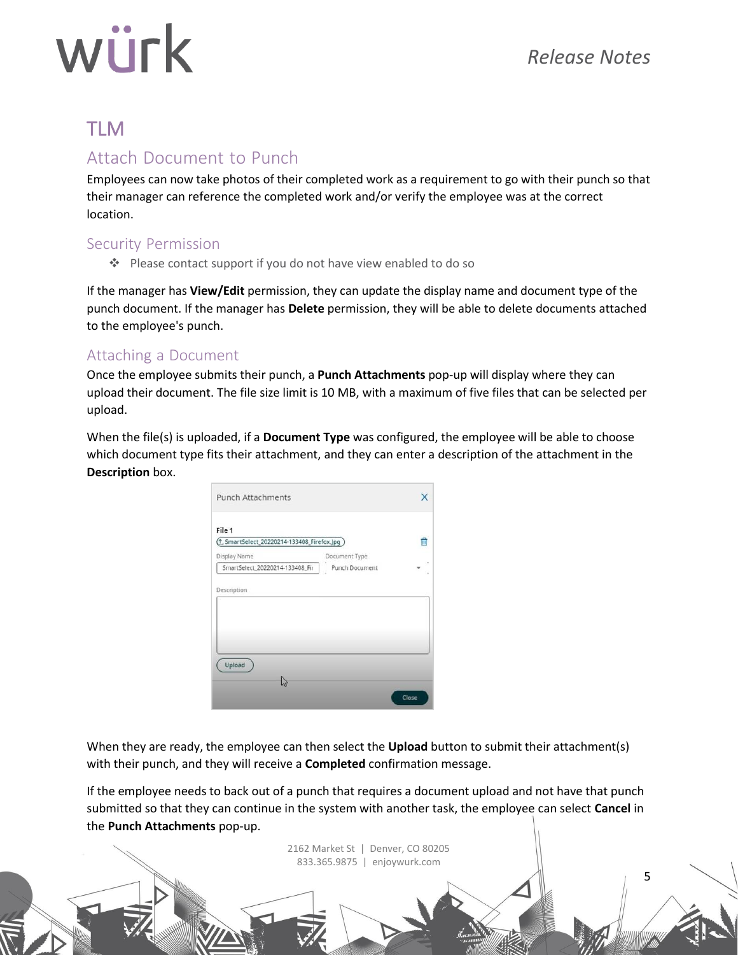5

# würk

## <span id="page-4-0"></span>TLM

### <span id="page-4-1"></span>Attach Document to Punch

Employees can now take photos of their completed work as a requirement to go with their punch so that their manager can reference the completed work and/or verify the employee was at the correct location.

#### <span id="page-4-2"></span>Security Permission

❖ Please contact support if you do not have view enabled to do so

If the manager has **View/Edit** permission, they can update the display name and document type of the punch document. If the manager has **Delete** permission, they will be able to delete documents attached to the employee's punch.

#### <span id="page-4-3"></span>Attaching a Document

Once the employee submits their punch, a **Punch Attachments** pop-up will display where they can upload their document. The file size limit is 10 MB, with a maximum of five files that can be selected per upload.

When the file(s) is uploaded, if a **Document Type** was configured, the employee will be able to choose which document type fits their attachment, and they can enter a description of the attachment in the **Description** box.

| <b>Punch Attachments</b>                  |                |   |
|-------------------------------------------|----------------|---|
| File 1                                    |                |   |
| 5martSelect_20220214-133408_Firefox.jpg ) |                | ŵ |
| Display Name                              | Document Type  |   |
| SmartSelect_20220214-133408_Fir           | Punch Document |   |
|                                           |                |   |
|                                           |                |   |
| Upload                                    |                |   |
|                                           |                |   |

When they are ready, the employee can then select the **Upload** button to submit their attachment(s) with their punch, and they will receive a **Completed** confirmation message.

If the employee needs to back out of a punch that requires a document upload and not have that punch submitted so that they can continue in the system with another task, the employee can select **Cancel** in the **Punch Attachments** pop-up.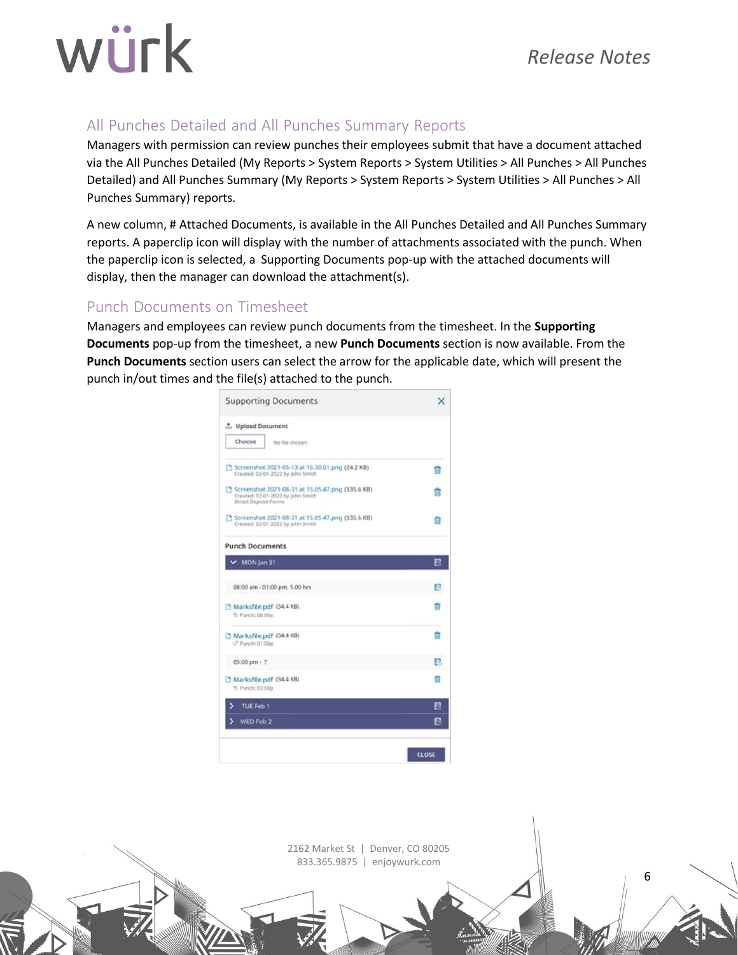### *Release Notes*

6

## würk

### <span id="page-5-0"></span>All Punches Detailed and All Punches Summary Reports

Managers with permission can review punches their employees submit that have a document attached via the All Punches Detailed (My Reports > System Reports > System Utilities > All Punches > All Punches Detailed) and All Punches Summary (My Reports > System Reports > System Utilities > All Punches > All Punches Summary) reports.

A new column, # Attached Documents, is available in the All Punches Detailed and All Punches Summary reports. A paperclip icon will display with the number of attachments associated with the punch. When the paperclip icon is selected, a Supporting Documents pop-up with the attached documents will display, then the manager can download the attachment(s).

#### <span id="page-5-1"></span>Punch Documents on Timesheet

Managers and employees can review punch documents from the timesheet. In the **Supporting Documents** pop-up from the timesheet, a new **Punch Documents** section is now available. From the **Punch Documents** section users can select the arrow for the applicable date, which will present the punch in/out times and the file(s) attached to the punch.

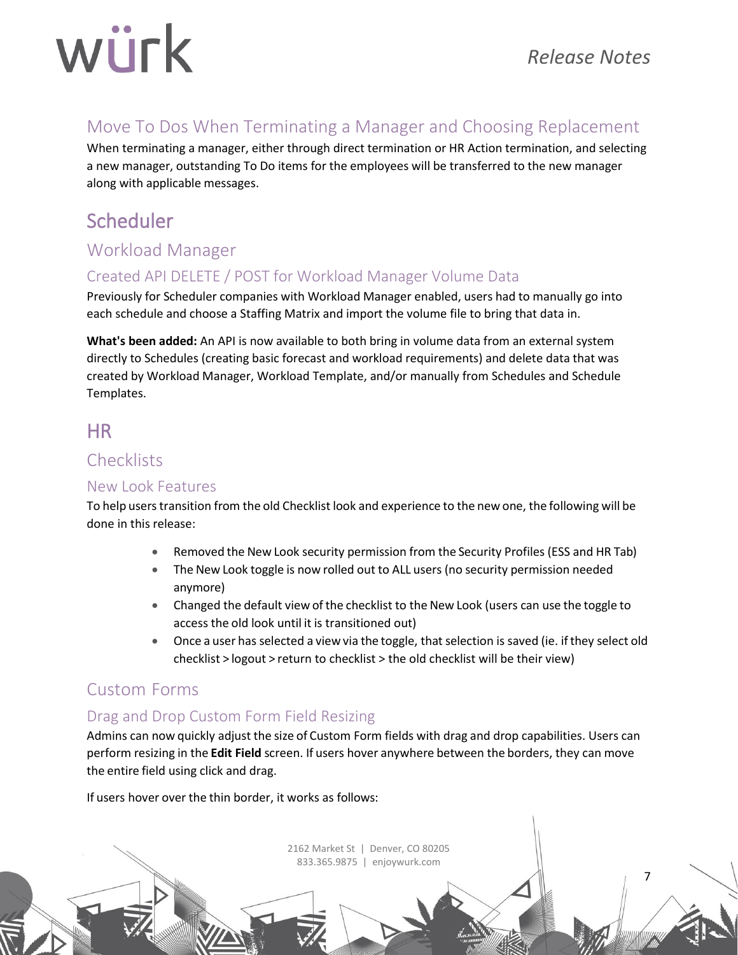7

## <span id="page-6-0"></span>Move To Dos When Terminating a Manager and Choosing Replacement

When terminating a manager, either through direct termination or HR Action termination, and selecting a new manager, outstanding To Do items for the employees will be transferred to the new manager along with applicable messages.

## <span id="page-6-1"></span>Scheduler

## <span id="page-6-2"></span>Workload Manager

### <span id="page-6-3"></span>Created API DELETE / POST for Workload Manager Volume Data

Previously for Scheduler companies with Workload Manager enabled, users had to manually go into each schedule and choose a Staffing Matrix and import the volume file to bring that data in.

**What's been added:** An API is now available to both bring in volume data from an external system directly to Schedules (creating basic forecast and workload requirements) and delete data that was created by Workload Manager, Workload Template, and/or manually from Schedules and Schedule Templates.

## <span id="page-6-4"></span>HR

### <span id="page-6-5"></span>**Checklists**

#### <span id="page-6-6"></span>New Look Features

To help userstransition from the old Checklist look and experience to the new one, the following will be done in this release:

- Removed the New Look security permission from the Security Profiles (ESS and HR Tab)
- The New Look toggle is now rolled out to ALL users (no security permission needed anymore)
- Changed the default view of the checklist to the New Look (users can use the toggle to access the old look until it is transitioned out)
- Once a user has selected a view via the toggle, that selection is saved (ie. if they select old checklist > logout > return to checklist > the old checklist will be their view)

## <span id="page-6-7"></span>Custom Forms

#### <span id="page-6-8"></span>Drag and Drop Custom Form Field Resizing

Admins can now quickly adjust the size of Custom Form fields with drag and drop capabilities. Users can perform resizing in the **Edit Field** screen. If users hover anywhere between the borders, they can move the entire field using click and drag.

> 2162 Market St | Denver, CO 80205 833.365.9875 | enjoywurk.com

If users hover over the thin border, it works as follows: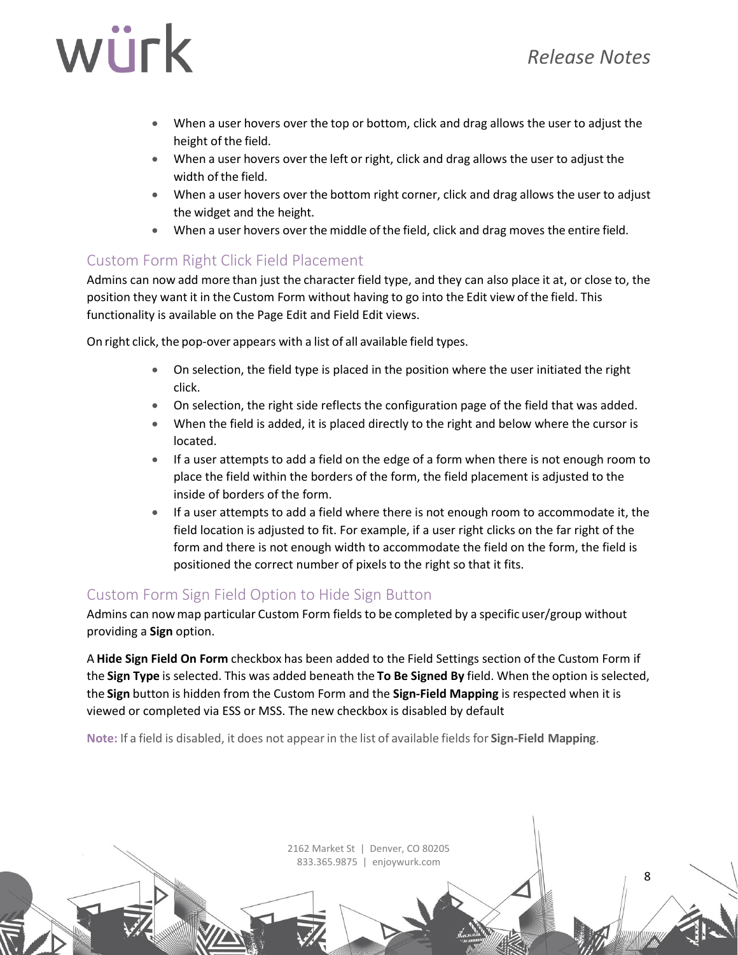8

## würk

- When a user hovers over the top or bottom, click and drag allows the user to adjust the height of the field.
- When a user hovers over the left or right, click and drag allows the user to adjust the width of the field.
- When a user hovers over the bottom right corner, click and drag allows the user to adjust the widget and the height.
- When a user hovers over the middle of the field, click and drag moves the entire field.

#### <span id="page-7-0"></span>Custom Form Right Click Field Placement

Admins can now add more than just the character field type, and they can also place it at, or close to, the position they want it in the Custom Form without having to go into the Edit view ofthe field. This functionality is available on the Page Edit and Field Edit views.

On right click, the pop-over appears with a list of all available field types.

- On selection, the field type is placed in the position where the user initiated the right click.
- On selection, the right side reflects the configuration page of the field that was added.
- When the field is added, it is placed directly to the right and below where the cursor is located.
- If a user attempts to add a field on the edge of a form when there is not enough room to place the field within the borders of the form, the field placement is adjusted to the inside of borders of the form.
- If a user attempts to add a field where there is not enough room to accommodate it, the field location is adjusted to fit. For example, if a user right clicks on the far right of the form and there is not enough width to accommodate the field on the form, the field is positioned the correct number of pixels to the right so that it fits.

#### <span id="page-7-1"></span>Custom Form Sign Field Option to Hide Sign Button

Admins can nowmap particular Custom Form fields to be completed by a specific user/group without providing a **Sign** option.

A **Hide Sign Field On Form** checkbox has been added to the Field Settings section of the Custom Form if the **Sign Type** is selected. This was added beneath the **To Be Signed By** field. When the option is selected, the **Sign** button is hidden from the Custom Form and the **Sign-Field Mapping** is respected when it is viewed or completed via ESS or MSS. The new checkbox is disabled by default

**Note:** If a field is disabled, it does not appearin the list of available fields for **Sign-Field Mapping**.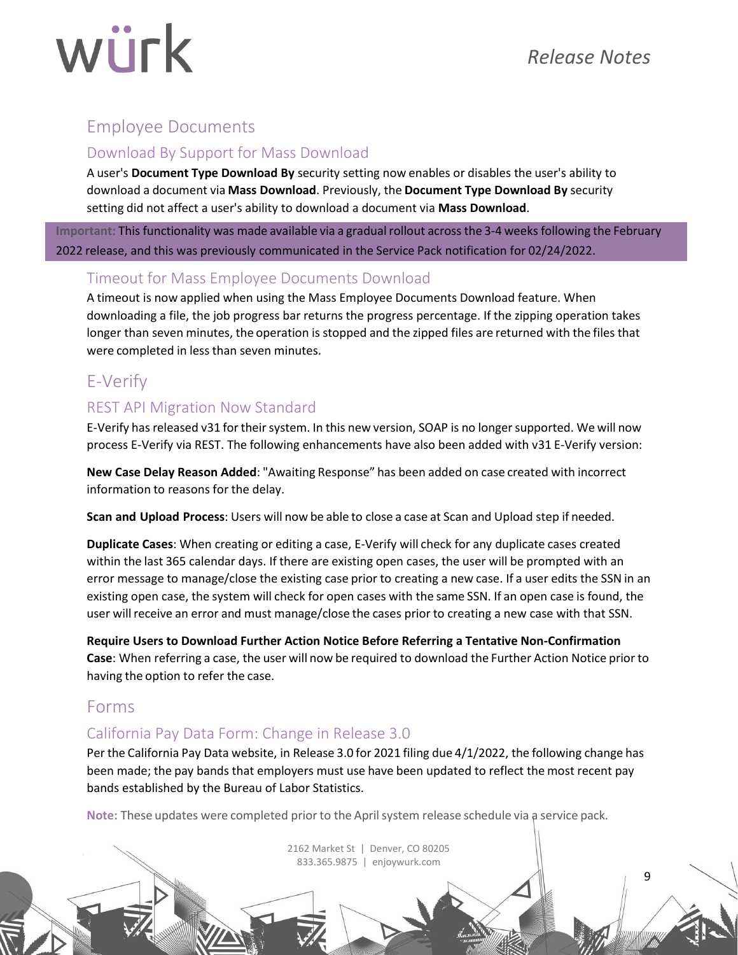9

### <span id="page-8-0"></span>Employee Documents

#### <span id="page-8-1"></span>Download By Support for Mass Download

A user's **Document Type Download By** security setting now enables or disables the user's ability to download a document via **Mass Download**. Previously, the **Document Type Download By** security setting did not affect a user's ability to download a document via **Mass Download**.

**Important:** This functionality was made available via a gradualrollout across the 3-4 weeks following the February 2022 release, and this was previously communicated in the Service Pack notification for 02/24/2022.

#### <span id="page-8-2"></span>Timeout for Mass Employee Documents Download

A timeout is now applied when using the Mass Employee Documents Download feature. When downloading a file, the job progress bar returns the progress percentage. If the zipping operation takes longer than seven minutes, the operation is stopped and the zipped files are returned with the files that were completed in less than seven minutes.

## <span id="page-8-3"></span>E-Verify

#### <span id="page-8-4"></span>REST API Migration Now Standard

E-Verify has released v31 for their system. In this new version, SOAP is no longer supported. We will now process E-Verify via REST. The following enhancements have also been added with v31 E-Verify version:

**New Case Delay Reason Added**: "Awaiting Response" has been added on case created with incorrect information to reasons for the delay.

**Scan and Upload Process**: Users will now be able to close a case at Scan and Upload step if needed.

**Duplicate Cases**: When creating or editing a case, E-Verify will check for any duplicate cases created within the last 365 calendar days. If there are existing open cases, the user will be prompted with an error message to manage/close the existing case prior to creating a new case. If a user edits the SSN in an existing open case, the system will check for open cases with the same SSN. If an open case is found, the user willreceive an error and must manage/close the cases prior to creating a new case with that SSN.

**Require Users to Download Further Action Notice Before Referring a Tentative Non-Confirmation Case**: When referring a case, the user will now be required to download the Further Action Notice prior to having the option to refer the case.

#### <span id="page-8-5"></span>Forms

#### <span id="page-8-6"></span>California Pay Data Form: Change in Release 3.0

Per the California Pay Data website, in Release 3.0 for 2021 filing due 4/1/2022, the following change has been made; the pay bands that employers must use have been updated to reflect the most recent pay bands established by the Bureau of Labor Statistics.

**Note:** These updates were completed prior to the Aprilsystem release schedule via a service pack.